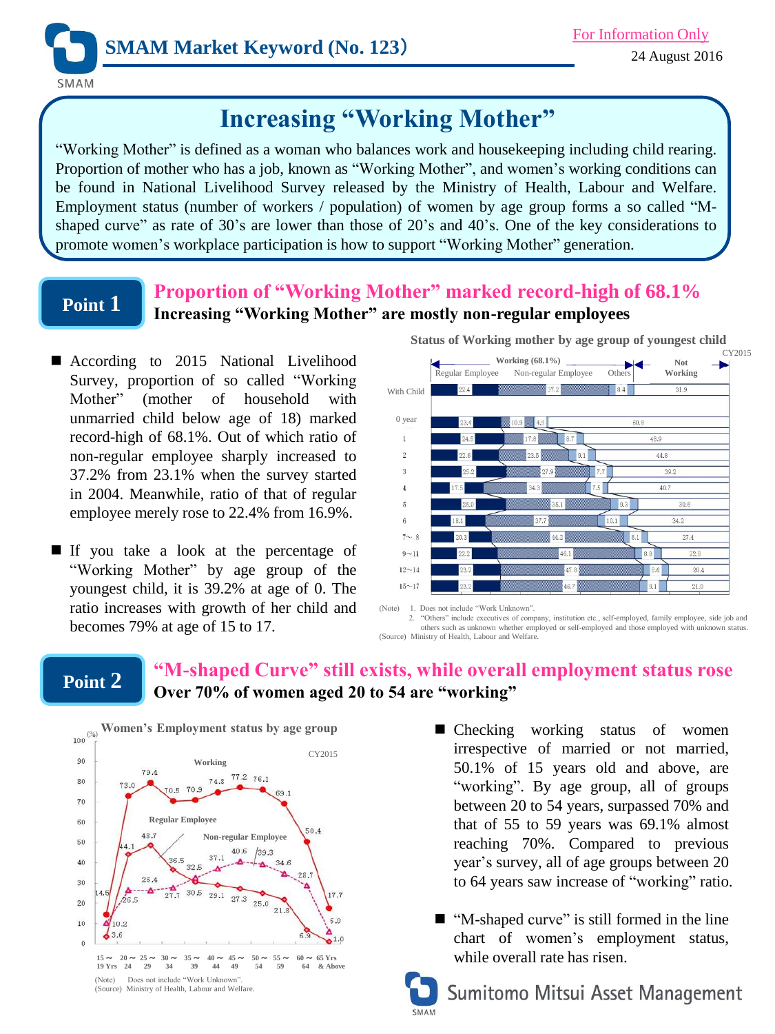

# **Increasing "Working Mother"**

"Working Mother" is defined as a woman who balances work and housekeeping including child rearing. Proportion of mother who has a job, known as "Working Mother", and women's working conditions can be found in National Livelihood Survey released by the Ministry of Health, Labour and Welfare. Employment status (number of workers / population) of women by age group forms a so called "Mshaped curve" as rate of 30's are lower than those of 20's and 40's. One of the key considerations to promote women's workplace participation is how to support "Working Mother" generation.

### **Point 1**

### **Proportion of "Working Mother" marked record-high of 68.1% Increasing "Working Mother" are mostly non-regular employees**

- According to 2015 National Livelihood Survey, proportion of so called "Working Mother" (mother of household with unmarried child below age of 18) marked record-high of 68.1%. Out of which ratio of non-regular employee sharply increased to 37.2% from 23.1% when the survey started in 2004. Meanwhile, ratio of that of regular employee merely rose to 22.4% from 16.9%.
- If you take a look at the percentage of "Working Mother" by age group of the youngest child, it is 39.2% at age of 0. The ratio increases with growth of her child and becomes 79% at age of 15 to 17.



**Status of Working mother by age group of youngest child**

(Note) 1. Does not include "Work Unknown".

 2. "Others" include executives of company, institution etc., self-employed, family employee, side job and others such as unknown whether employed or self-employed and those employed with unknown status. (Source) Ministry of Health, Labour and Welfare.

# **Point 2**

### **"M-shaped Curve" still exists, while overall employment status rose Over 70% of women aged 20 to 54 are "working"**



- Checking working status of women irrespective of married or not married, 50.1% of 15 years old and above, are "working". By age group, all of groups between 20 to 54 years, surpassed 70% and that of 55 to 59 years was 69.1% almost reaching 70%. Compared to previous year's survey, all of age groups between 20 to 64 years saw increase of "working" ratio.
- "M-shaped curve" is still formed in the line chart of women's employment status, while overall rate has risen.